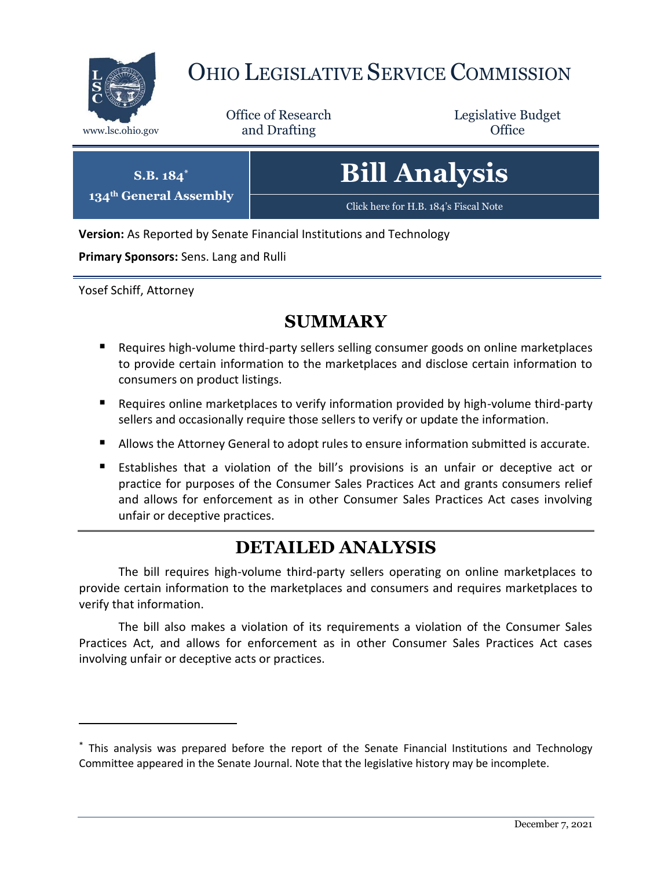

 $134^\text{th}$ 

 $\overline{a}$ 

# OHIO LEGISLATIVE SERVICE COMMISSION

Office of Research www.lsc.ohio.gov **and Drafting Office** 

Legislative Budget

| $S.B. 184^*$<br><b>General Assembly</b> | <b>Bill Analysis</b>                  |
|-----------------------------------------|---------------------------------------|
|                                         | Click here for H.B. 184's Fiscal Note |

**Version:** As Reported by Senate Financial Institutions and Technology

**Primary Sponsors:** Sens. Lang and Rulli

Yosef Schiff, Attorney

# **SUMMARY**

- Requires high-volume third-party sellers selling consumer goods on online marketplaces to provide certain information to the marketplaces and disclose certain information to consumers on product listings.
- Requires online marketplaces to verify information provided by high-volume third-party sellers and occasionally require those sellers to verify or update the information.
- Allows the Attorney General to adopt rules to ensure information submitted is accurate.
- Establishes that a violation of the bill's provisions is an unfair or deceptive act or practice for purposes of the Consumer Sales Practices Act and grants consumers relief and allows for enforcement as in other Consumer Sales Practices Act cases involving unfair or deceptive practices.

# **DETAILED ANALYSIS**

The bill requires high-volume third-party sellers operating on online marketplaces to provide certain information to the marketplaces and consumers and requires marketplaces to verify that information.

The bill also makes a violation of its requirements a violation of the Consumer Sales Practices Act, and allows for enforcement as in other Consumer Sales Practices Act cases involving unfair or deceptive acts or practices.

<sup>\*</sup> This analysis was prepared before the report of the Senate Financial Institutions and Technology Committee appeared in the Senate Journal. Note that the legislative history may be incomplete.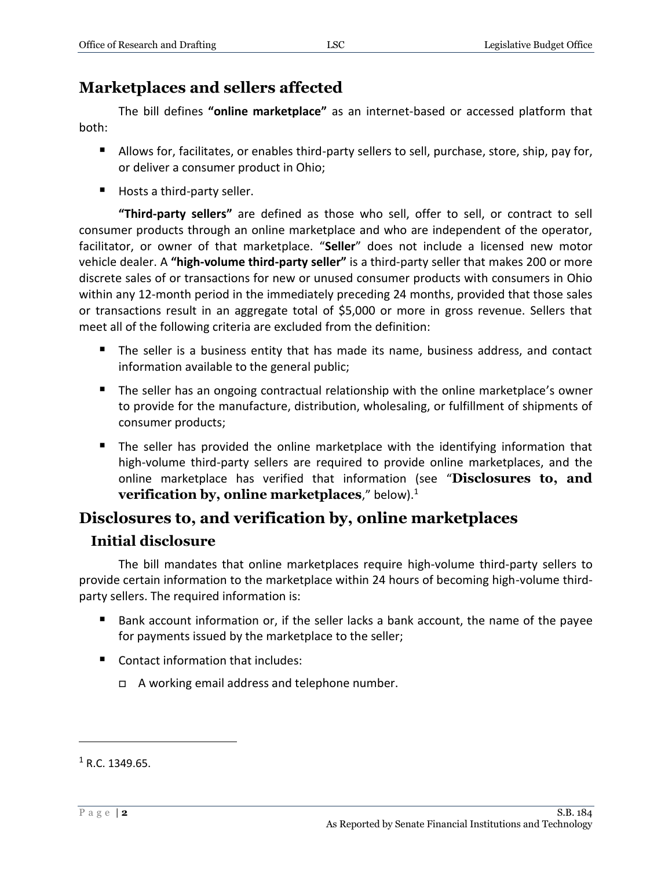## **Marketplaces and sellers affected**

The bill defines **"online marketplace"** as an internet-based or accessed platform that both:

- Allows for, facilitates, or enables third-party sellers to sell, purchase, store, ship, pay for, or deliver a consumer product in Ohio;
- Hosts a third-party seller.

**"Third-party sellers"** are defined as those who sell, offer to sell, or contract to sell consumer products through an online marketplace and who are independent of the operator, facilitator, or owner of that marketplace. "**Seller**" does not include a licensed new motor vehicle dealer. A **"high-volume third-party seller"** is a third-party seller that makes 200 or more discrete sales of or transactions for new or unused consumer products with consumers in Ohio within any 12-month period in the immediately preceding 24 months, provided that those sales or transactions result in an aggregate total of \$5,000 or more in gross revenue. Sellers that meet all of the following criteria are excluded from the definition:

- The seller is a business entity that has made its name, business address, and contact information available to the general public;
- **The seller has an ongoing contractual relationship with the online marketplace's owner** to provide for the manufacture, distribution, wholesaling, or fulfillment of shipments of consumer products;
- **The seller has provided the online marketplace with the identifying information that** high-volume third-party sellers are required to provide online marketplaces, and the online marketplace has verified that information (see "**Disclosures to, and verification by, online marketplaces**," below).<sup>1</sup>

## **Disclosures to, and verification by, online marketplaces**

### **Initial disclosure**

The bill mandates that online marketplaces require high-volume third-party sellers to provide certain information to the marketplace within 24 hours of becoming high-volume thirdparty sellers. The required information is:

- Bank account information or, if the seller lacks a bank account, the name of the payee for payments issued by the marketplace to the seller;
- Contact information that includes:
	- A working email address and telephone number.

 $1 R.C. 1349.65.$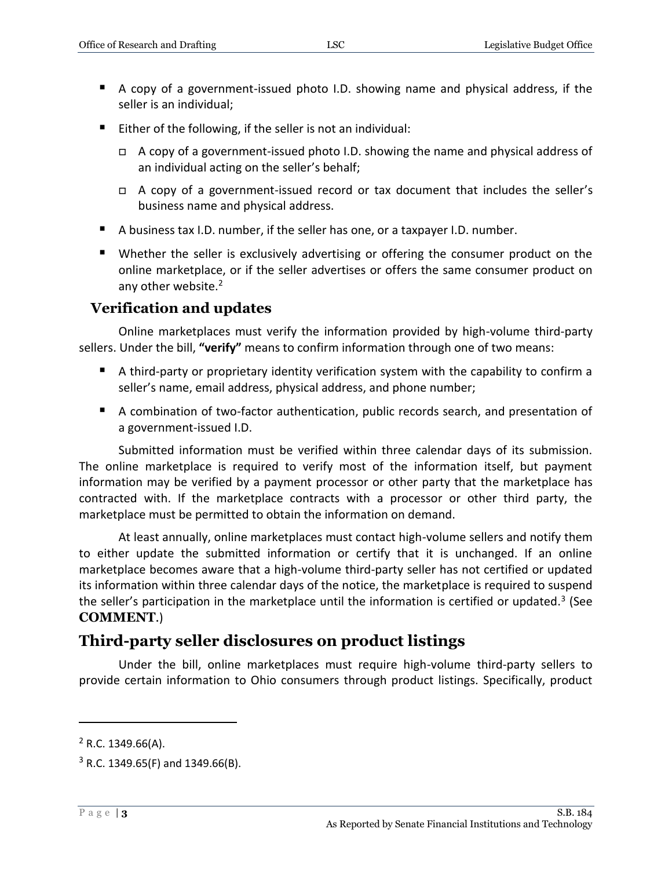- A copy of a government-issued photo I.D. showing name and physical address, if the seller is an individual;
- Either of the following, if the seller is not an individual:
	- $\Box$  A copy of a government-issued photo I.D. showing the name and physical address of an individual acting on the seller's behalf;
	- $\Box$  A copy of a government-issued record or tax document that includes the seller's business name and physical address.
- A business tax I.D. number, if the seller has one, or a taxpayer I.D. number.
- Whether the seller is exclusively advertising or offering the consumer product on the online marketplace, or if the seller advertises or offers the same consumer product on any other website.<sup>2</sup>

#### **Verification and updates**

Online marketplaces must verify the information provided by high-volume third-party sellers. Under the bill, **"verify"** means to confirm information through one of two means:

- A third-party or proprietary identity verification system with the capability to confirm a seller's name, email address, physical address, and phone number;
- A combination of two-factor authentication, public records search, and presentation of a government-issued I.D.

Submitted information must be verified within three calendar days of its submission. The online marketplace is required to verify most of the information itself, but payment information may be verified by a payment processor or other party that the marketplace has contracted with. If the marketplace contracts with a processor or other third party, the marketplace must be permitted to obtain the information on demand.

At least annually, online marketplaces must contact high-volume sellers and notify them to either update the submitted information or certify that it is unchanged. If an online marketplace becomes aware that a high-volume third-party seller has not certified or updated its information within three calendar days of the notice, the marketplace is required to suspend the seller's participation in the marketplace until the information is certified or updated.<sup>3</sup> (See **COMMENT**.)

## **Third-party seller disclosures on product listings**

Under the bill, online marketplaces must require high-volume third-party sellers to provide certain information to Ohio consumers through product listings. Specifically, product

 $2$  R.C. 1349.66(A).

 $3$  R.C. 1349.65(F) and 1349.66(B).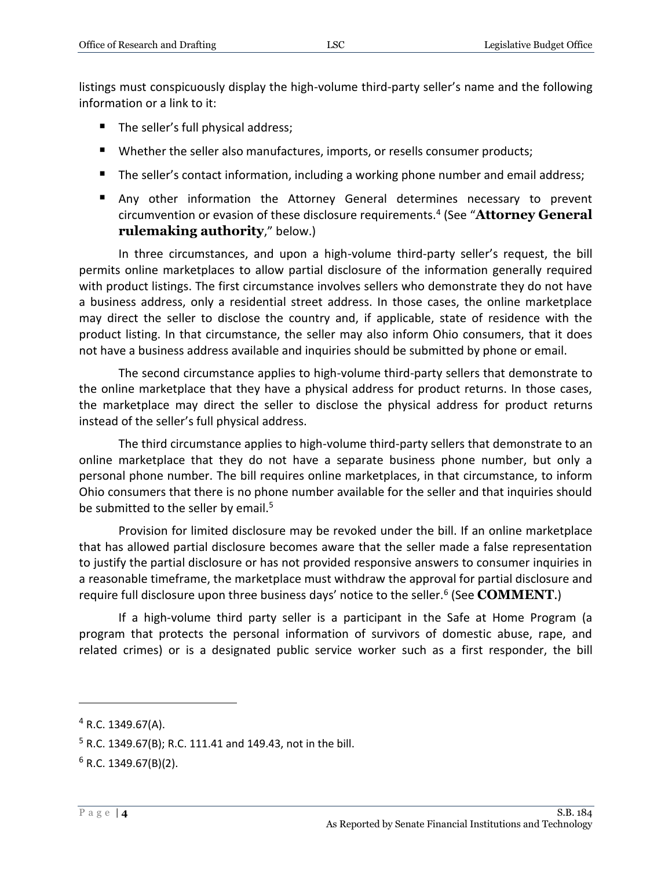listings must conspicuously display the high-volume third-party seller's name and the following information or a link to it:

- The seller's full physical address;
- Whether the seller also manufactures, imports, or resells consumer products;
- The seller's contact information, including a working phone number and email address;
- Any other information the Attorney General determines necessary to prevent circumvention or evasion of these disclosure requirements.<sup>4</sup> (See "**Attorney General rulemaking authority**," below.)

In three circumstances, and upon a high-volume third-party seller's request, the bill permits online marketplaces to allow partial disclosure of the information generally required with product listings. The first circumstance involves sellers who demonstrate they do not have a business address, only a residential street address. In those cases, the online marketplace may direct the seller to disclose the country and, if applicable, state of residence with the product listing. In that circumstance, the seller may also inform Ohio consumers, that it does not have a business address available and inquiries should be submitted by phone or email.

The second circumstance applies to high-volume third-party sellers that demonstrate to the online marketplace that they have a physical address for product returns. In those cases, the marketplace may direct the seller to disclose the physical address for product returns instead of the seller's full physical address.

The third circumstance applies to high-volume third-party sellers that demonstrate to an online marketplace that they do not have a separate business phone number, but only a personal phone number. The bill requires online marketplaces, in that circumstance, to inform Ohio consumers that there is no phone number available for the seller and that inquiries should be submitted to the seller by email.<sup>5</sup>

Provision for limited disclosure may be revoked under the bill. If an online marketplace that has allowed partial disclosure becomes aware that the seller made a false representation to justify the partial disclosure or has not provided responsive answers to consumer inquiries in a reasonable timeframe, the marketplace must withdraw the approval for partial disclosure and require full disclosure upon three business days' notice to the seller.<sup>6</sup> (See **COMMENT**.)

If a high-volume third party seller is a participant in the Safe at Home Program (a program that protects the personal information of survivors of domestic abuse, rape, and related crimes) or is a designated public service worker such as a first responder, the bill

 $4$  R.C. 1349.67(A).

 $5$  R.C. 1349.67(B); R.C. 111.41 and 149.43, not in the bill.

 $6$  R.C. 1349.67(B)(2).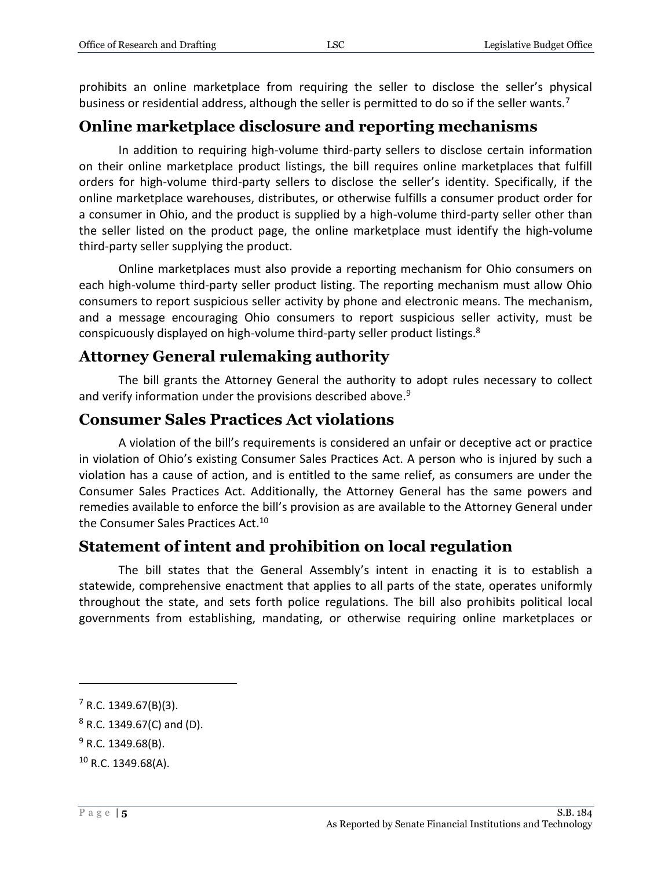prohibits an online marketplace from requiring the seller to disclose the seller's physical business or residential address, although the seller is permitted to do so if the seller wants.<sup>7</sup>

## **Online marketplace disclosure and reporting mechanisms**

In addition to requiring high-volume third-party sellers to disclose certain information on their online marketplace product listings, the bill requires online marketplaces that fulfill orders for high-volume third-party sellers to disclose the seller's identity. Specifically, if the online marketplace warehouses, distributes, or otherwise fulfills a consumer product order for a consumer in Ohio, and the product is supplied by a high-volume third-party seller other than the seller listed on the product page, the online marketplace must identify the high-volume third-party seller supplying the product.

Online marketplaces must also provide a reporting mechanism for Ohio consumers on each high-volume third-party seller product listing. The reporting mechanism must allow Ohio consumers to report suspicious seller activity by phone and electronic means. The mechanism, and a message encouraging Ohio consumers to report suspicious seller activity, must be conspicuously displayed on high-volume third-party seller product listings.<sup>8</sup>

#### **Attorney General rulemaking authority**

The bill grants the Attorney General the authority to adopt rules necessary to collect and verify information under the provisions described above.<sup>9</sup>

#### **Consumer Sales Practices Act violations**

A violation of the bill's requirements is considered an unfair or deceptive act or practice in violation of Ohio's existing Consumer Sales Practices Act. A person who is injured by such a violation has a cause of action, and is entitled to the same relief, as consumers are under the Consumer Sales Practices Act. Additionally, the Attorney General has the same powers and remedies available to enforce the bill's provision as are available to the Attorney General under the Consumer Sales Practices Act.<sup>10</sup>

### **Statement of intent and prohibition on local regulation**

The bill states that the General Assembly's intent in enacting it is to establish a statewide, comprehensive enactment that applies to all parts of the state, operates uniformly throughout the state, and sets forth police regulations. The bill also prohibits political local governments from establishing, mandating, or otherwise requiring online marketplaces or

 $7$  R.C. 1349.67(B)(3).

 $8$  R.C. 1349.67(C) and (D).

 $9$  R.C. 1349.68(B).

 $10$  R.C. 1349.68(A).